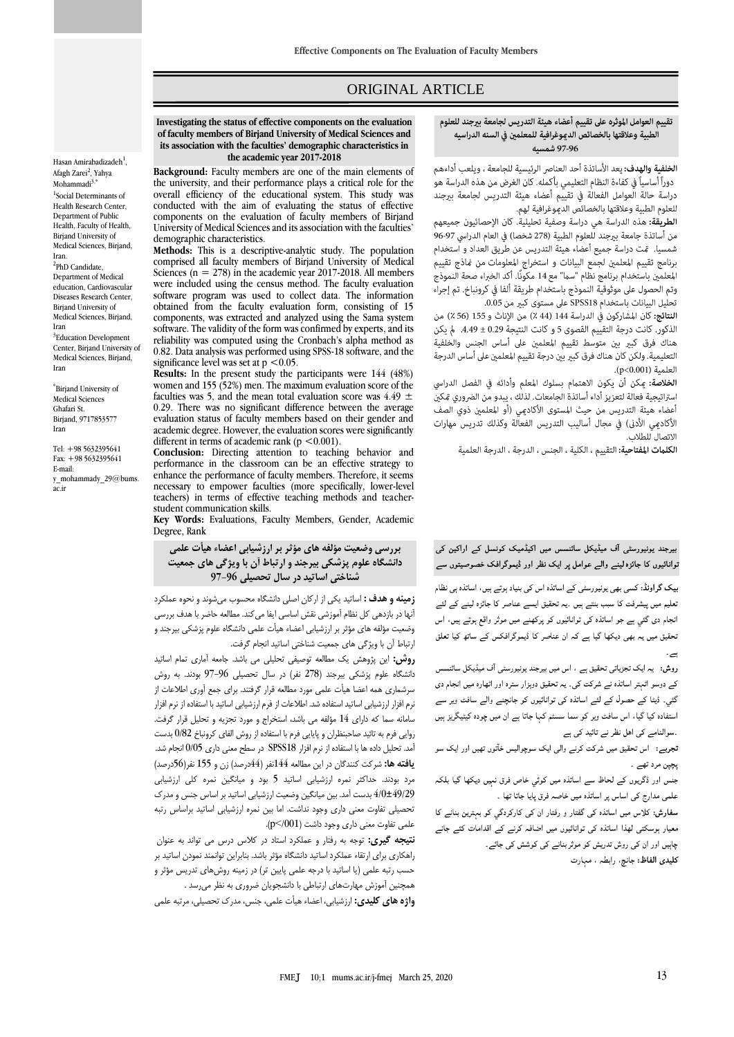# ORIGINAL ARTICLE

#### تقييم العوامل الموثره على تقييم أعضاء هيئة التدريس لجامعة بيرجند للعلوم الطبية وعلاقتها بالخصائص الدموغرافية للمعلمين فى السنه الدراسيه 97-96 شمسيه

ص

**الخلفية والهدف:** يعد الأساتذة أحد العناصر الرئيسية للجامعة ، ويلعب أداءهم دوراً أساسياً في كفاءة النظام التعليمي بأكمله. كان الغرض من هذه الدراسة هو دراسة حالة العوامل الفعالة في تقييم أعضاء هيئة التدريس لجامعة بيرجند للعلوم الطبية وعلاقتها بالخصائص الديموغرافية لهم.

**الطريقة:** هذه الدراسة هي دراسة وصفية تحليلية. كان الإحصائيون جميعهم من أساتذة جامعة بيرجند للعلوم الطبية (278 شخصا) في العام الدراسي 97-96 شمسيا. قت دراسة جميع أعضاء هيئة التدريس عن طريق العداد و استخدام برنامج تقييم المعلمين لجمع البيانات و استخراج المعلومات من نماذج تقييم المعلمين باستخدام برنامج نظّام "سما" مع 14 مكونًا. أكد الخبراء صحة النموذج وتم الحصول على موثوقية النموذج باستخدام طريقة ألفا في كرونباخ. تم إجراء تحليل البيانات باستخدام SPSS18 على مستوى كبير من 0.05.

النتائج: كان المشاركون في الدراسة 144 (44 ٪) من الإناث و 155 (56 ٪) من الذكور. كانت درجة التقييم القصوى 5 و كانت النتيجة 0.29 ± 4.49. لم يكن هناك فرق كبير بين متوسط تقييم المعلمين على أساس الجنس والخلفية التعليمية. ولكن كان هناك فرق كبير بين درجة تقييم المعلمين على أساس الدرجة العلمية (p<0.001).

الخلاصة: عِكن أن يكون الاهتمام بسلوك المعلم وأدائه في الفصل الدراسي استراتيجية فعالة لتعزيز أداء أساتذة الجامعات. لذلك ، يبدو من الضروري مّكين أعضاء هيئة التدريس من حيث المستوى الأكاديمي (أو المعلمين ذوي الصف الأكاديمي الأدنى) في مجال أساليب التدريس الفعالة وكذلك تدريس مهارات الاتصال للطلاب.

الكلمات المفتاحية: التقييم ، الكلية ، الجنس ، الدرجة ، الدرجة العلمية

بیرجند یونیورسٹی آف میڈیکل سائنسس میں اکیڈمیک کونسل کے اراکین کی توانائیوں کا جائزہ لینے والے عوامل پر ایک نظر اور ڈیموگرافک خصوصیتوں سے

۔<br>بیک گراونڈ: کسی بھی یونیورسٹی کے اساتذہ اس کی بنیاد ہوتے ہیں، اساتذہ ہی نظام تعلیم میں پیشرفت کا سبب بنتے ہیں ۔یہ تحقیق ایسے عناصر کا جائزہ لینے کے لئے انجام دی گئی ہے جو اساتذہ کی توانائیوں کو پرکھنے میں موثر واقع ہوتے ہیں، اس تحقیق میں یہ بھی دیکھا گیا ہے کہ ان عناصر کا ڈیموگرافکس کے ساتھ کیا تعلق

روش: یہ ایک تجزیاتی تحقیق ہے ، اس میں بیرجند یونیورسٹی آف میڈیکل سائنسس کے دوسو اٹمتر اساتذہ نے شرکت کی۔ یہ تحقیق دوہزار سترہ اور اٹھارہ میں انجام دی گئی۔ ڈیٹا کے حصول کے لئے اساتذہ کی توانائیوں کو جانچنے والے سافٹ ویر سے استفادہ کیا گیا، اس سافٹ ویر کو سما سسٹم کہا جاتا ہے ان میں چودہ کیٹیگریز ہیں ۔سوالنامے کی اہل نظر نے تائید کی ہے

تجربے: اس تحقیق میں شرکت کرنے والی ایک سوچوالیس خآتوں تھیں اور ایک سو بجبر مرد تھے۔

جنس اور ڈگریوں کے لحاظ سے اساتذہ میں کوئی خاص فرق نہیں دیکھا گیا بلکہ علمی مدارج کی اساس پر اساتذہ میں خاصہ فرق پایا جاتا تھا ۔

سفارش: کلاس میں اساتذہ کی گفتار و رفتار ان کی کارکردگی کو بہترین بنانے کا معیار ہوسکتی لھذا اساتذہ کی توانائیوں میں اضافہ کرنے کے اقدامات کئے جانے ۔<br>چاہیں اور ان کی روش تدریش کو موثر بنانے کی کوشش کی جائے۔ كليدي الفاظ: جانچ، رابطہ ، مہارت

**Investigating the status of effective components on the evaluation of faculty members of Birjand University of Medical Sciences and its association with the faculties' demographic characteristics in the academic year 2017-2018**

**Background:** Faculty members are one of the main elements of the university, and their performance plays a critical role for the overall efficiency of the educational system. This study was conducted with the aim of evaluating the status of effective components on the evaluation of faculty members of Birjand University of Medical Sciences and its association with the faculties' demographic characteristics.

**Methods:** This is a descriptive-analytic study. The population comprised all faculty members of Birjand University of Medical Sciences ( $n = 278$ ) in the academic year 2017-2018. All members were included using the census method. The faculty evaluation software program was used to collect data. The information obtained from the faculty evaluation form, consisting of 15 components, was extracted and analyzed using the Sama system software. The validity of the form was confirmed by experts, and its reliability was computed using the Cronbach's alpha method as 0.82. Data analysis was performed using SPSS-18 software, and the significance level was set at  $p < 0.05$ .

**Results:** In the present study the participants were 144 (48%) women and 155 (52%) men. The maximum evaluation score of the faculties was 5, and the mean total evaluation score was  $4.49 \pm$ 0.29. There was no significant difference between the average evaluation status of faculty members based on their gender and academic degree. However, the evaluation scores were significantly different in terms of academic rank ( $p < 0.001$ ).

**Conclusion:** Directing attention to teaching behavior and performance in the classroom can be an effective strategy to enhance the performance of faculty members. Therefore, it seems necessary to empower faculties (more specifically, lower-level teachers) in terms of effective teaching methods and teacherstudent communication skills.

**Key Words:** Evaluations, Faculty Members, Gender, Academic Degree, Rank

#### **بررسی وضعیت مؤلفه های مؤثر بر ارزشیابی اعضاء هیأت علمی دانشگاه علوم پزشکی بیرجند و ارتباط آن با ویژگی های جمعیت شناختی اساتید در سال تحصیلی 97-96**

**زمینه و هدف :** اساتید یکی از ارکان اصلی دانشگاه محسوب میشوند و نحوه عملکرد آنها در بازدهی کل نظام آموزشی نقش اساسی ایفا میکند. مطالعه حاضر با هدف بررسی وضعیت مؤلفه های مؤثر بر ارزشیابی اعضاء هیأت علمی دانشگاه علوم پزشکی بیرجند و ارتباط آن با ویژگی های جمعیت شناختی اساتید انجام گرفت.

**روش:** این پژوهش یک مطالعه توصیفی تحلیلی می باشد. جامعه آماری تمام اساتید دانشگاه علوم پزشکی بیرجند )278 نفر( در سال تحصیلی 97-96 بودند. به روش سرشماری همه اعضا هیأت علمی مورد مطالعه قرار گرفتند. برای جمع آوری اطالعات از نرم افزار ارزشیابی اساتید استفاده شد. اطالعات از فرم ارزشیابی اساتید با استفاده از نرم افزار سامانه سما که دارای 14 مؤلفه می باشد، استخراج و مورد تجزیه و تحلیل قرار گرفت. روایی فرم به تائید صاحبنظران و پایایی فرم با استفاده از روش الفای کرونباخ 0/82 بدست آمد. تحلیل داده ها با استفاده از نرم افزار 18SPSS در سطح معنی داری 0/05 انجام شد. **یافته ها:** شرکت کنندگان در این مطالعه 144نفر )44درصد( زن و 155 نفر)56درصد( مرد بودند. حداکثر نمره ارزشیابی اساتید 5 بود و میانگین نمره کلی ارزشیابی 4/0±49/29 بدست آمد. بین میانگین وضعیت ارزشیابی اساتید بر اساس جنس و مدرک تحصیلی تفاوت معنی داری وجود نداشت. اما بین نمره ارزشیابی اساتید براساس رتبه علمی تفاوت معنی داری وجود داشت (p</001).

**نتیجه گیری:** توجه به رفتار و عملکرد استاد در کالس درس می تواند به عنوان راهکاری برای ارتقاء عملکرد اساتید دانشگاه مؤثر باشد. بنابراین توانمند نمودن اساتید بر حسب رتبه علمی )یا اساتید با درجه علمی پایین تر( در زمینه روشهای تدریس مؤثر و همچنین آموزش مهارتهای ارتباطی با دانشجویان ضروری به نظر میرسد .

**واژه های کلیدی:** ارزشیابی، اعضاء هیأت علمی، جنس، مدرک تحصیلی، مرتبه علمی

Hasan Amirabadizadeh<sup>1</sup>, [Afagh Zarei](http://fmej.mums.ac.ir/?_action=article&au=109858&_au=Afagh++Zarei)<sup>2</sup>, Yahya [Mohammadi](http://fmej.mums.ac.ir/?_action=article&au=78585&_au=Yahya++Mohammadi) $3$ , 1 Social Determinants of Health Research Center, Department of Public Health, Faculty of Health, Birjand University of Medical Sciences, Birjand, Iran. <sup>2</sup>PhD Candidate, Department of Medical

education, Cardiovascular Diseases Research Center, Birjand University of Medical Sciences, Birjand, Iran <sup>3</sup>Education Development Center, Birjand University of Medical Sciences, Birjand, Iran

\* Birjand University of Medical Sciences Ghafari St. Birjand, 9717853577 Iran

Tel: +98 5632395641 Fax: +98 5632395641 E-mail: y\_mohammady\_29@bums. ac.ir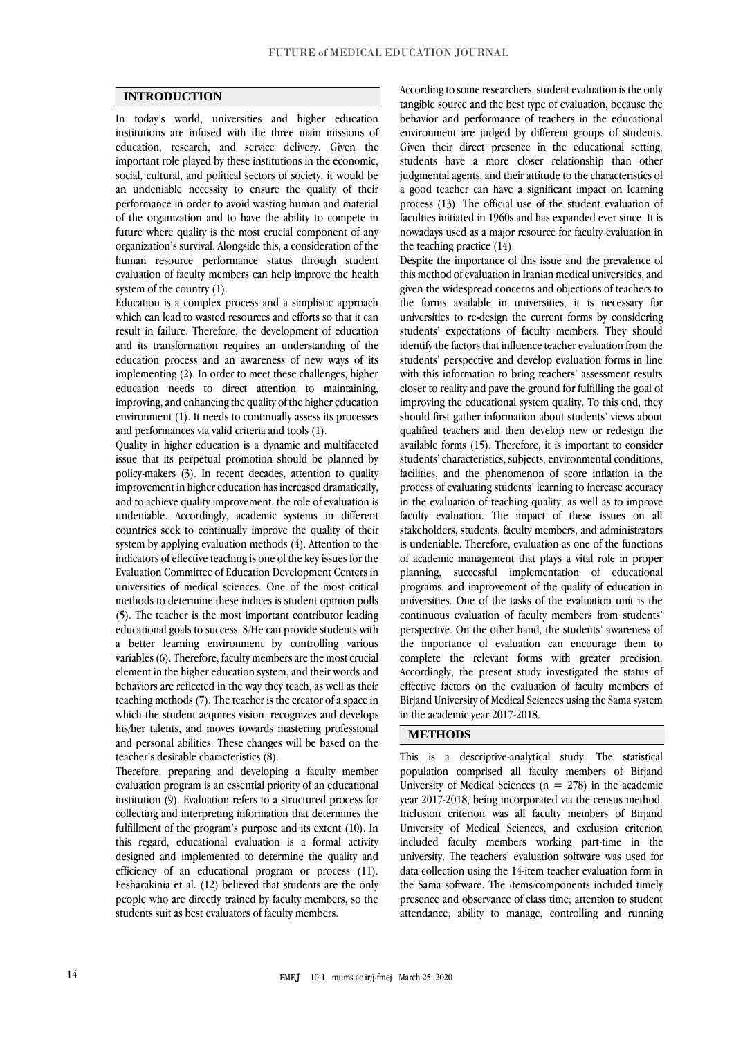#### **INTRODUCTION**

In today's world, universities and higher education institutions are infused with the three main missions of education, research, and service delivery. Given the important role played by these institutions in the economic, social, cultural, and political sectors of society, it would be an undeniable necessity to ensure the quality of their performance in order to avoid wasting human and material of the organization and to have the ability to compete in future where quality is the most crucial component of any organization's survival. Alongside this, a consideration of the human resource performance status through student evaluation of faculty members can help improve the health system of the country (1).

Education is a complex process and a simplistic approach which can lead to wasted resources and efforts so that it can result in failure. Therefore, the development of education and its transformation requires an understanding of the education process and an awareness of new ways of its implementing (2). In order to meet these challenges, higher education needs to direct attention to maintaining, improving, and enhancing the quality of the higher education environment (1). It needs to continually assess its processes and performances via valid criteria and tools (1).

Quality in higher education is a dynamic and multifaceted issue that its perpetual promotion should be planned by policy-makers (3). In recent decades, attention to quality improvement in higher education has increased dramatically, and to achieve quality improvement, the role of evaluation is undeniable. Accordingly, academic systems in different countries seek to continually improve the quality of their system by applying evaluation methods (4). Attention to the indicators of effective teaching is one of the key issues for the Evaluation Committee of Education Development Centers in universities of medical sciences. One of the most critical methods to determine these indices is student opinion polls (5). The teacher is the most important contributor leading educational goals to success. S/He can provide students with a better learning environment by controlling various variables (6). Therefore, faculty members are the most crucial element in the higher education system, and their words and behaviors are reflected in the way they teach, as well as their teaching methods (7). The teacher is the creator of a space in which the student acquires vision, recognizes and develops his/her talents, and moves towards mastering professional and personal abilities. These changes will be based on the teacher's desirable characteristics (8).

Therefore, preparing and developing a faculty member evaluation program is an essential priority of an educational institution (9). Evaluation refers to a structured process for collecting and interpreting information that determines the fulfillment of the program's purpose and its extent (10). In this regard, educational evaluation is a formal activity designed and implemented to determine the quality and efficiency of an educational program or process (11). Fesharakinia et al. (12) believed that students are the only people who are directly trained by faculty members, so the students suit as best evaluators of faculty members.

According to some researchers, student evaluation is the only tangible source and the best type of evaluation, because the behavior and performance of teachers in the educational environment are judged by different groups of students. Given their direct presence in the educational setting, students have a more closer relationship than other judgmental agents, and their attitude to the characteristics of a good teacher can have a significant impact on learning process (13). The official use of the student evaluation of faculties initiated in 1960s and has expanded ever since. It is nowadays used as a major resource for faculty evaluation in the teaching practice (14).

Despite the importance of this issue and the prevalence of this method of evaluation in Iranian medical universities, and given the widespread concerns and objections of teachers to the forms available in universities, it is necessary for universities to re-design the current forms by considering students' expectations of faculty members. They should identify the factors that influence teacher evaluation from the students' perspective and develop evaluation forms in line with this information to bring teachers' assessment results closer to reality and pave the ground for fulfilling the goal of improving the educational system quality. To this end, they should first gather information about students' views about qualified teachers and then develop new or redesign the available forms (15). Therefore, it is important to consider students' characteristics, subjects, environmental conditions, facilities, and the phenomenon of score inflation in the process of evaluating students' learning to increase accuracy in the evaluation of teaching quality, as well as to improve faculty evaluation. The impact of these issues on all stakeholders, students, faculty members, and administrators is undeniable. Therefore, evaluation as one of the functions of academic management that plays a vital role in proper planning, successful implementation of educational programs, and improvement of the quality of education in universities. One of the tasks of the evaluation unit is the continuous evaluation of faculty members from students' perspective. On the other hand, the students' awareness of the importance of evaluation can encourage them to complete the relevant forms with greater precision. Accordingly, the present study investigated the status of effective factors on the evaluation of faculty members of Birjand University of Medical Sciences using the Sama system in the academic year 2017-2018.

### **METHODS**

This is a descriptive-analytical study. The statistical population comprised all faculty members of Birjand University of Medical Sciences ( $n = 278$ ) in the academic year 2017-2018, being incorporated via the census method. Inclusion criterion was all faculty members of Birjand University of Medical Sciences, and exclusion criterion included faculty members working part-time in the university. The teachers' evaluation software was used for data collection using the 14-item teacher evaluation form in the Sama software. The items/components included timely presence and observance of class time; attention to student attendance; ability to manage, controlling and running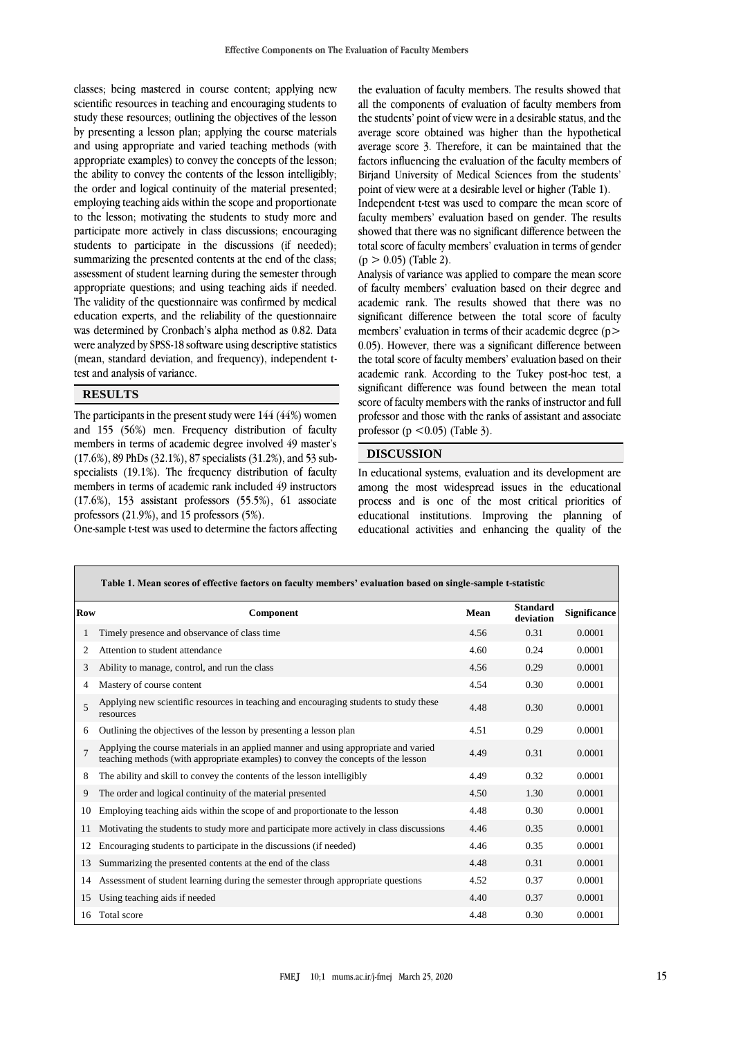classes; being mastered in course content; applying new scientific resources in teaching and encouraging students to study these resources; outlining the objectives of the lesson by presenting a lesson plan; applying the course materials and using appropriate and varied teaching methods (with appropriate examples) to convey the concepts of the lesson; the ability to convey the contents of the lesson intelligibly; the order and logical continuity of the material presented; employing teaching aids within the scope and proportionate to the lesson; motivating the students to study more and participate more actively in class discussions; encouraging students to participate in the discussions (if needed); summarizing the presented contents at the end of the class; assessment of student learning during the semester through appropriate questions; and using teaching aids if needed. The validity of the questionnaire was confirmed by medical education experts, and the reliability of the questionnaire was determined by Cronbach's alpha method as 0.82. Data were analyzed by SPSS-18 software using descriptive statistics (mean, standard deviation, and frequency), independent ttest and analysis of variance.

#### **RESULTS**

The participants in the present study were 144 (44%) women and 155 (56%) men. Frequency distribution of faculty members in terms of academic degree involved 49 master's (17.6%), 89 PhDs (32.1%), 87 specialists (31.2%), and 53 subspecialists (19.1%). The frequency distribution of faculty members in terms of academic rank included 49 instructors (17.6%), 153 assistant professors (55.5%), 61 associate professors (21.9%), and 15 professors (5%). One-sample t-test was used to determine the factors affecting the evaluation of faculty members. The results showed that all the components of evaluation of faculty members from the students' point of view were in a desirable status, and the average score obtained was higher than the hypothetical average score 3. Therefore, it can be maintained that the factors influencing the evaluation of the faculty members of Birjand University of Medical Sciences from the students' point of view were at a desirable level or higher (Table 1).

Independent t-test was used to compare the mean score of faculty members' evaluation based on gender. The results showed that there was no significant difference between the total score of faculty members' evaluation in terms of gender  $(p > 0.05)$  (Table 2).

Analysis of variance was applied to compare the mean score of faculty members' evaluation based on their degree and academic rank. The results showed that there was no significant difference between the total score of faculty members' evaluation in terms of their academic degree (p> 0.05). However, there was a significant difference between the total score of faculty members' evaluation based on their academic rank. According to the Tukey post-hoc test, a significant difference was found between the mean total score of faculty members with the ranks of instructor and full professor and those with the ranks of assistant and associate professor ( $p \le 0.05$ ) (Table 3).

## **DISCUSSION**

In educational systems, evaluation and its development are among the most widespread issues in the educational process and is one of the most critical priorities of educational institutions. Improving the planning of educational activities and enhancing the quality of the

|                | Table 1. Mean scores of effective factors on faculty members' evaluation based on single-sample t-statistic                                                              |      |                              |                     |  |  |  |  |
|----------------|--------------------------------------------------------------------------------------------------------------------------------------------------------------------------|------|------------------------------|---------------------|--|--|--|--|
| <b>Row</b>     | Component                                                                                                                                                                | Mean | <b>Standard</b><br>deviation | <b>Significance</b> |  |  |  |  |
|                | Timely presence and observance of class time                                                                                                                             | 4.56 | 0.31                         | 0.0001              |  |  |  |  |
| 2              | Attention to student attendance                                                                                                                                          | 4.60 | 0.24                         | 0.0001              |  |  |  |  |
| 3              | Ability to manage, control, and run the class                                                                                                                            | 4.56 | 0.29                         | 0.0001              |  |  |  |  |
| 4              | Mastery of course content                                                                                                                                                | 4.54 | 0.30                         | 0.0001              |  |  |  |  |
| $\overline{5}$ | Applying new scientific resources in teaching and encouraging students to study these<br>resources                                                                       | 4.48 | 0.30                         | 0.0001              |  |  |  |  |
| 6              | Outlining the objectives of the lesson by presenting a lesson plan                                                                                                       | 4.51 | 0.29                         | 0.0001              |  |  |  |  |
| $\overline{7}$ | Applying the course materials in an applied manner and using appropriate and varied<br>teaching methods (with appropriate examples) to convey the concepts of the lesson | 4.49 | 0.31                         | 0.0001              |  |  |  |  |
| 8              | The ability and skill to convey the contents of the lesson intelligibly                                                                                                  | 4.49 | 0.32                         | 0.0001              |  |  |  |  |
| 9              | The order and logical continuity of the material presented                                                                                                               | 4.50 | 1.30                         | 0.0001              |  |  |  |  |
| 10             | Employing teaching aids within the scope of and proportionate to the lesson                                                                                              | 4.48 | 0.30                         | 0.0001              |  |  |  |  |
| 11             | Motivating the students to study more and participate more actively in class discussions                                                                                 | 4.46 | 0.35                         | 0.0001              |  |  |  |  |
| 12             | Encouraging students to participate in the discussions (if needed)                                                                                                       | 4.46 | 0.35                         | 0.0001              |  |  |  |  |
| 13             | Summarizing the presented contents at the end of the class                                                                                                               | 4.48 | 0.31                         | 0.0001              |  |  |  |  |
| 14             | Assessment of student learning during the semester through appropriate questions                                                                                         | 4.52 | 0.37                         | 0.0001              |  |  |  |  |
| 15             | Using teaching aids if needed                                                                                                                                            | 4.40 | 0.37                         | 0.0001              |  |  |  |  |
| 16             | Total score                                                                                                                                                              | 4.48 | 0.30                         | 0.0001              |  |  |  |  |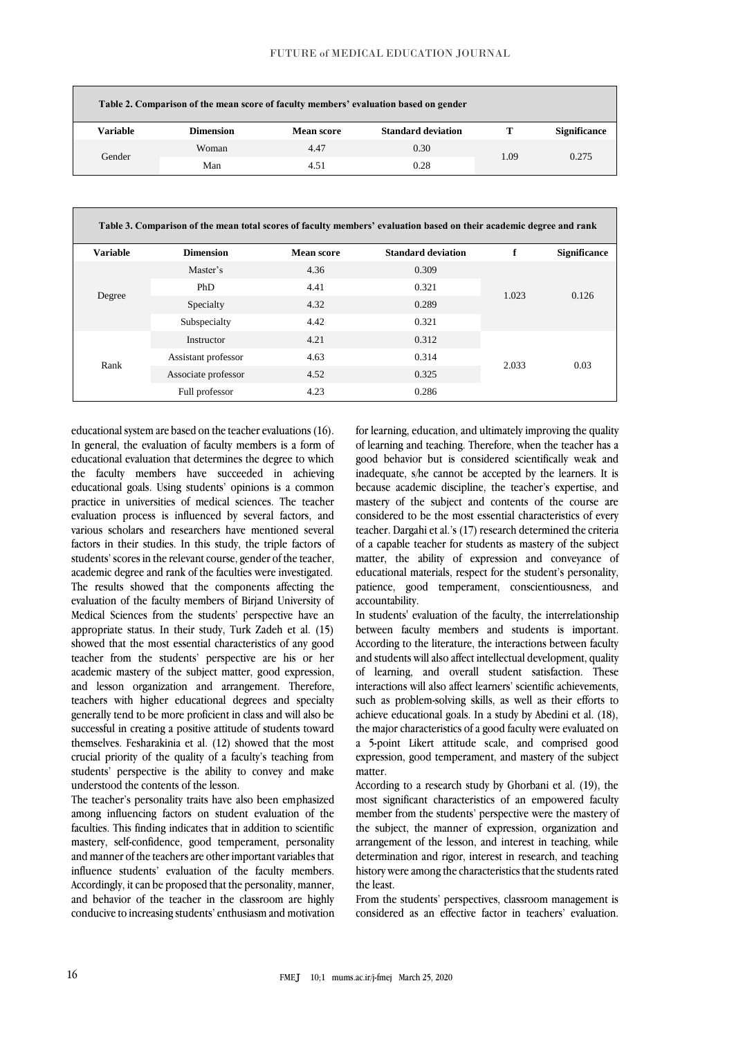|          | Table 2. Comparison of the mean score of faculty members' evaluation based on gender |            |                           |      |                     |  |  |  |  |
|----------|--------------------------------------------------------------------------------------|------------|---------------------------|------|---------------------|--|--|--|--|
| Variable | <b>Dimension</b>                                                                     | Mean score | <b>Standard deviation</b> |      | <b>Significance</b> |  |  |  |  |
| Gender   | Woman                                                                                | 4.47       | 0.30                      | 1.09 | 0.275               |  |  |  |  |
|          | Man                                                                                  | 4.51       | 0.28                      |      |                     |  |  |  |  |

| Table 3. Comparison of the mean total scores of faculty members' evaluation based on their academic degree and rank |                     |                   |                           |       |                     |  |  |  |
|---------------------------------------------------------------------------------------------------------------------|---------------------|-------------------|---------------------------|-------|---------------------|--|--|--|
| <b>Variable</b>                                                                                                     | <b>Dimension</b>    | <b>Mean score</b> | <b>Standard deviation</b> | f     | <b>Significance</b> |  |  |  |
|                                                                                                                     | Master's            | 4.36              | 0.309                     | 1.023 | 0.126               |  |  |  |
|                                                                                                                     | <b>PhD</b>          | 4.41              | 0.321                     |       |                     |  |  |  |
| Degree                                                                                                              | Specialty           | 4.32              | 0.289                     |       |                     |  |  |  |
|                                                                                                                     | Subspecialty        | 4.42              | 0.321                     |       |                     |  |  |  |
|                                                                                                                     | Instructor          | 4.21              | 0.312                     | 2.033 | 0.03                |  |  |  |
| Rank                                                                                                                | Assistant professor | 4.63              | 0.314                     |       |                     |  |  |  |
|                                                                                                                     | Associate professor | 4.52              | 0.325                     |       |                     |  |  |  |
|                                                                                                                     | Full professor      | 4.23              | 0.286                     |       |                     |  |  |  |

educational system are based on the teacher evaluations (16). In general, the evaluation of faculty members is a form of educational evaluation that determines the degree to which the faculty members have succeeded in achieving educational goals. Using students' opinions is a common practice in universities of medical sciences. The teacher evaluation process is influenced by several factors, and various scholars and researchers have mentioned several factors in their studies. In this study, the triple factors of students' scores in the relevant course, gender of the teacher, academic degree and rank of the faculties were investigated. The results showed that the components affecting the evaluation of the faculty members of Birjand University of Medical Sciences from the students' perspective have an appropriate status. In their study, Turk Zadeh et al. (15) showed that the most essential characteristics of any good teacher from the students' perspective are his or her academic mastery of the subject matter, good expression, and lesson organization and arrangement. Therefore, teachers with higher educational degrees and specialty generally tend to be more proficient in class and will also be successful in creating a positive attitude of students toward themselves. Fesharakinia et al. (12) showed that the most crucial priority of the quality of a faculty's teaching from students' perspective is the ability to convey and make understood the contents of the lesson.

The teacher's personality traits have also been emphasized among influencing factors on student evaluation of the faculties. This finding indicates that in addition to scientific mastery, self-confidence, good temperament, personality and manner of the teachers are other important variables that influence students' evaluation of the faculty members. Accordingly, it can be proposed that the personality, manner, and behavior of the teacher in the classroom are highly conducive to increasing students' enthusiasm and motivation

for learning, education, and ultimately improving the quality of learning and teaching. Therefore, when the teacher has a good behavior but is considered scientifically weak and inadequate, s/he cannot be accepted by the learners. It is because academic discipline, the teacher's expertise, and mastery of the subject and contents of the course are considered to be the most essential characteristics of every teacher. Dargahi et al.'s (17) research determined the criteria of a capable teacher for students as mastery of the subject matter, the ability of expression and conveyance of educational materials, respect for the student's personality, patience, good temperament, conscientiousness, and accountability.

In students' evaluation of the faculty, the interrelationship between faculty members and students is important. According to the literature, the interactions between faculty and students will also affect intellectual development, quality of learning, and overall student satisfaction. These interactions will also affect learners' scientific achievements, such as problem-solving skills, as well as their efforts to achieve educational goals. In a study by Abedini et al. (18), the major characteristics of a good faculty were evaluated on a 5-point Likert attitude scale, and comprised good expression, good temperament, and mastery of the subject matter.

According to a research study by Ghorbani et al. (19), the most significant characteristics of an empowered faculty member from the students' perspective were the mastery of the subject, the manner of expression, organization and arrangement of the lesson, and interest in teaching, while determination and rigor, interest in research, and teaching history were among the characteristics that the students rated the least.

From the students' perspectives, classroom management is considered as an effective factor in teachers' evaluation.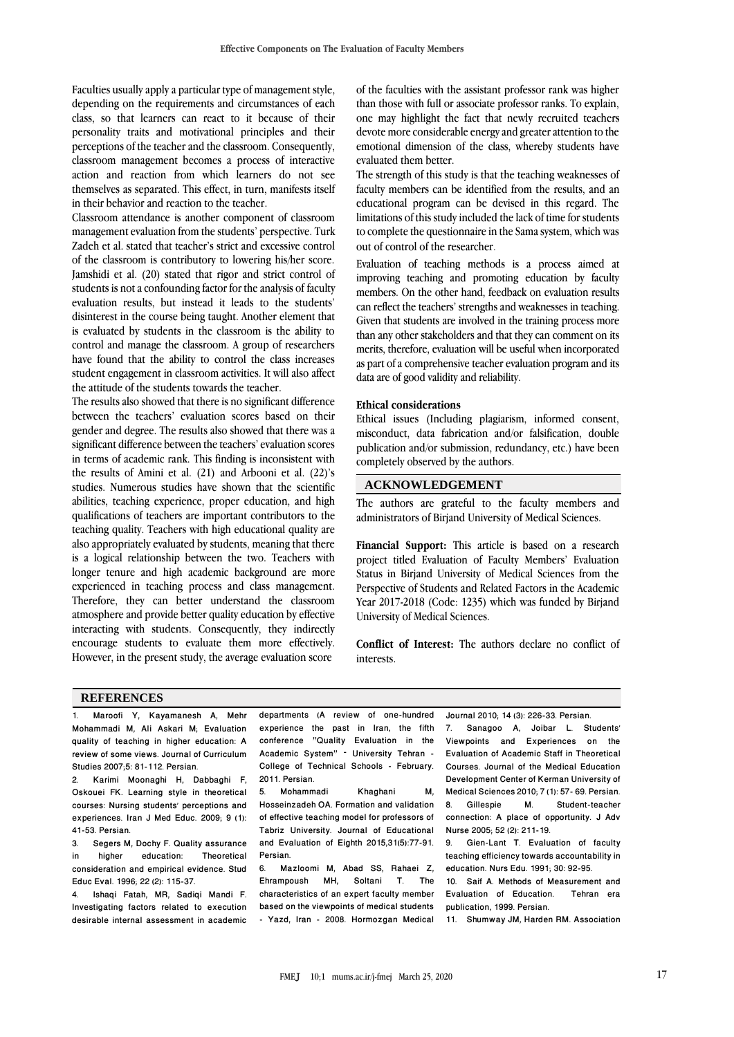Faculties usually apply a particular type of management style, depending on the requirements and circumstances of each class, so that learners can react to it because of their personality traits and motivational principles and their perceptions of the teacher and the classroom. Consequently, classroom management becomes a process of interactive action and reaction from which learners do not see themselves as separated. This effect, in turn, manifests itself in their behavior and reaction to the teacher.

Classroom attendance is another component of classroom management evaluation from the students' perspective. Turk Zadeh et al. stated that teacher's strict and excessive control of the classroom is contributory to lowering his/her score. Jamshidi et al. (20) stated that rigor and strict control of students is not a confounding factor for the analysis of faculty evaluation results, but instead it leads to the students' disinterest in the course being taught. Another element that is evaluated by students in the classroom is the ability to control and manage the classroom. A group of researchers have found that the ability to control the class increases student engagement in classroom activities. It will also affect the attitude of the students towards the teacher.

The results also showed that there is no significant difference between the teachers' evaluation scores based on their gender and degree. The results also showed that there was a significant difference between the teachers' evaluation scores in terms of academic rank. This finding is inconsistent with the results of Amini et al. (21) and Arbooni et al. (22)'s studies. Numerous studies have shown that the scientific abilities, teaching experience, proper education, and high qualifications of teachers are important contributors to the teaching quality. Teachers with high educational quality are also appropriately evaluated by students, meaning that there is a logical relationship between the two. Teachers with longer tenure and high academic background are more experienced in teaching process and class management. Therefore, they can better understand the classroom atmosphere and provide better quality education by effective interacting with students. Consequently, they indirectly encourage students to evaluate them more effectively. However, in the present study, the average evaluation score

of the faculties with the assistant professor rank was higher than those with full or associate professor ranks. To explain, one may highlight the fact that newly recruited teachers devote more considerable energy and greater attention to the emotional dimension of the class, whereby students have evaluated them better.

The strength of this study is that the teaching weaknesses of faculty members can be identified from the results, and an educational program can be devised in this regard. The limitations of this study included the lack of time for students to complete the questionnaire in the Sama system, which was out of control of the researcher.

Evaluation of teaching methods is a process aimed at improving teaching and promoting education by faculty members. On the other hand, feedback on evaluation results can reflect the teachers' strengths and weaknesses in teaching. Given that students are involved in the training process more than any other stakeholders and that they can comment on its merits, therefore, evaluation will be useful when incorporated as part of a comprehensive teacher evaluation program and its data are of good validity and reliability.

#### **Ethical considerations**

Ethical issues (Including plagiarism, informed consent, misconduct, data fabrication and/or falsification, double publication and/or submission, redundancy, etc.) have been completely observed by the authors.

### **ACKNOWLEDGEMENT**

The authors are grateful to the faculty members and administrators of Birjand University of Medical Sciences.

**Financial Support:** This article is based on a research project titled Evaluation of Faculty Members' Evaluation Status in Birjand University of Medical Sciences from the Perspective of Students and Related Factors in the Academic Year 2017-2018 (Code: 1235) which was funded by Birjand University of Medical Sciences.

**Conflict of Interest:** The authors declare no conflict of interests.

#### **REFERENCES**

1. Maroofi Y, Kayamanesh A, Mehr Mohammadi M, Ali Askari M; Evaluation quality of teaching in higher education: A review of some views. Journal of Curriculum Studies 2007;5: 81-112. Persian.

2. Karimi Moonaghi H, Dabbaghi F, Oskouei FK. Learning style in theoretical courses: Nursing students' perceptions and experiences. Iran J Med Educ. 2009; 9 (1): 41-53. Persian.

3. Segers M, Dochy F. Quality assurance<br>in higher education: Theoretical in higher education: Theoretical consideration and empirical evidence. Stud Educ Eval. 1996; 22 (2): 115-37.

4. Ishaqi Fatah, MR, Sadiqi Mandi F. Investigating factors related to execution desirable internal assessment in academic

departments (A review of one-hundred experience the past in Iran, the fifth conference "Quality Evaluation in the Academic System" – University Tehran - College of Technical Schools - February. 2011. Persian.<br>5 Mohamm

5. Mohammadi Khaghani M, Hosseinzadeh OA. Formation and validation of effective teaching model for professors of Tabriz University. Journal of Educational and Evaluation of Eighth 2015,31(5):77-91. Persian.<br>6. Ma

Mazloomi M, Abad SS, Rahaei Z,<br>mpoush MH. Soltani T. The Ehrampoush MH, Soltani characteristics of an expert faculty member based on the viewpoints of medical students - Yazd, Iran - 2008. Hormozgan Medical Journal 2010; 14 (3): 226-33. Persian.

7. Sanagoo A, Joibar L. Students' Viewpoints and Experiences on the Evaluation of Academic Staff in Theoretical Courses. Journal of the Medical Education Development Center of Kerman University of Medical Sciences 2010; 7 (1): 57- 69. Persian.<br>8. Gillespie M. Student-teacher Student-teacher connection: A place of opportunity. J Adv Nurse 2005; 52 (2): 211-19.

Gien-Lant T. Evaluation of faculty teaching efficiency towards accountability in education. Nurs Edu. 1991; 30: 92-95.

10. Saif A. Methods of Measurement and Evaluation of Education. Tehran era publication, 1999. Persian.

11. Shumway JM, Harden RM. Association